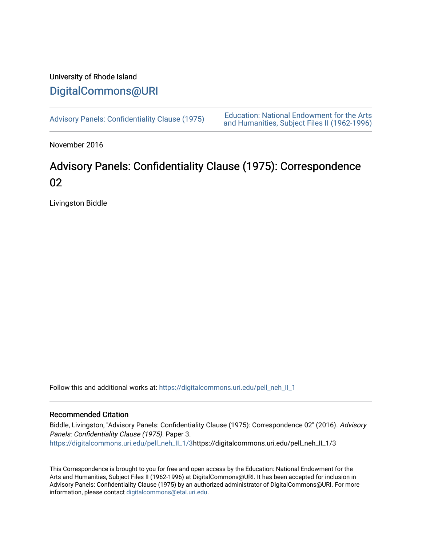# University of Rhode Island [DigitalCommons@URI](https://digitalcommons.uri.edu/)

[Advisory Panels: Confidentiality Clause \(1975\)](https://digitalcommons.uri.edu/pell_neh_II_1) [Education: National Endowment for the Arts](https://digitalcommons.uri.edu/pell_neh_II)  [and Humanities, Subject Files II \(1962-1996\)](https://digitalcommons.uri.edu/pell_neh_II) 

November 2016

# Advisory Panels: Confidentiality Clause (1975): Correspondence 02

Livingston Biddle

Follow this and additional works at: [https://digitalcommons.uri.edu/pell\\_neh\\_II\\_1](https://digitalcommons.uri.edu/pell_neh_II_1?utm_source=digitalcommons.uri.edu%2Fpell_neh_II_1%2F3&utm_medium=PDF&utm_campaign=PDFCoverPages) 

### Recommended Citation

Biddle, Livingston, "Advisory Panels: Confidentiality Clause (1975): Correspondence 02" (2016). Advisory Panels: Confidentiality Clause (1975). Paper 3. [https://digitalcommons.uri.edu/pell\\_neh\\_II\\_1/3](https://digitalcommons.uri.edu/pell_neh_II_1/3?utm_source=digitalcommons.uri.edu%2Fpell_neh_II_1%2F3&utm_medium=PDF&utm_campaign=PDFCoverPages)https://digitalcommons.uri.edu/pell\_neh\_II\_1/3

This Correspondence is brought to you for free and open access by the Education: National Endowment for the Arts and Humanities, Subject Files II (1962-1996) at DigitalCommons@URI. It has been accepted for inclusion in Advisory Panels: Confidentiality Clause (1975) by an authorized administrator of DigitalCommons@URI. For more information, please contact [digitalcommons@etal.uri.edu.](mailto:digitalcommons@etal.uri.edu)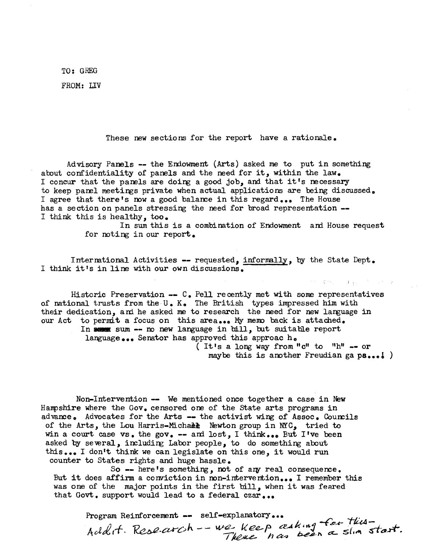TO: GREG

FROM: LIV

These new sections for the report have a rationale.

Advisory Panels -- the Endowment (Arts) asked me to put in something about confidentiality of panels and the need for it, within the law. I concur that the panels are doing a good job, and that it's necessary to keep parel meetings private when actual applications are being discussed. I agree that there's now a good balance in this regard... The House has a section on panels stressing the need for broad representation --I think this is healthy, too.

> In sum this is a combination of Endowment and House request for noting in our report.

Intermtional Activities -- requested, informally, by the State Dept. I think it's in line with our own discussions.

Historic Preservation  $--$  C. Pell recently met with some representatives of national trusts from the U. K. The British types impressed him with their dedication, ani he asked me to research the need for new language in our Act to permit a focus on this area... My memo back is attached. In sum -- no new language in bill, but suitable report language ••• Senator has approved this approac he

( It's a long way from " $c$ " to " $h$ " -- or maybe this is another Freudian ga  $ps...$  )

i .,

Non-Intervention -- We mentioned once together a case in New Hanpshire where the Gov. censored ore of the state arts programs in advance. Advocates for the Arts  $-$  the activist wing of Assoc. Councils of the *Arts,* the Lou Harris-Michail Newton group in NYC, tried to win a court case vs • the gov. -- ani lo *st,* I think •• • But I •ve been asked by several, including Labor people, to do something about this... I don't think we can legislate on this one, it would run counter to States rights and huge hassle.

So  $-$  here's something, not of any real consequence. But it does affirm a conviction in non-intervention... I remember this was one of the major points in the first bill, when it was feared that Govt. support would lead to a federal czar...

Program Reinforcement -- self-explanatory... Addit. Research -- we keep eaking for this-<br>Addit. Research -- we keep eaking for this-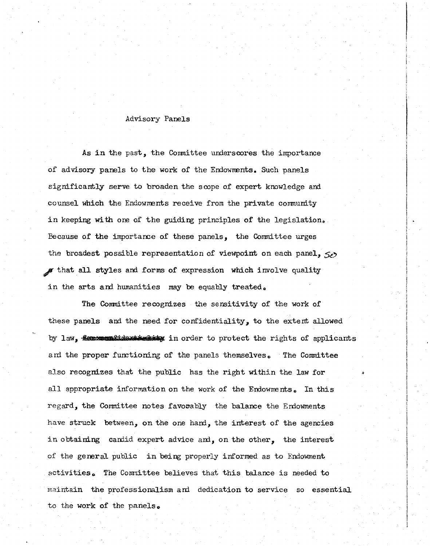#### Advisory Panels

As in the past, the Conmittee underscores the importance of advisory panels to the work of the Endownents. Such panels significantly serve to broaden the scope of expert knowledge and counsel which the Endowments receive from the private community in keeping with one of the guiding principles of the legislation. Eecause of the importance of these panels, the Committee urges the broadest possible representation of viewpoint on each panel,  $50$ f that all styles and forms of expression which involve quality in the arts and humanities may be equably treated.

The Committee recognizes the sensitivity of the work of these panels and the need for confidentiality, to the extent allowed by law, **firm attidentially** in order to protect the rights of applicants and the proper functioning of the panels themselves. The Committee also recognizes that the public has the right within the law for all appropriate information on the work of the Endowments. In this regard, the Conmittee notes favooably the balance the Errlowments have struck between, on the one hand, the interest of the agencies in obtaining candid expert advice and, on the other, the interest of the general public in being properly informed as to Endowment activities. The Committee believes that this balance is needed to maintain the professionalism and dedication to service so essential to the work of the panels.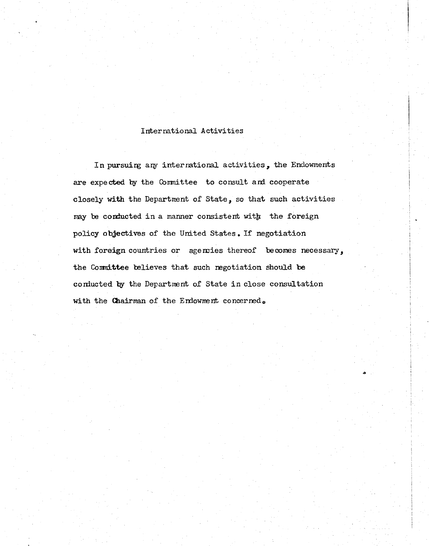#### International Activities

In pursuing any international activities, the Endowments are expected by the Committee to consult and cooperate closely with the Department of State, so that such activities may be conducted in a manner consistent with the foreign policy objectives of the United States. If negotiation with foreign countries or agencies thereof becomes necessary, the Committee believes that such negotiation should be conducted by the Department of State in close consultation with the Chairman of the Endowment concerned.

...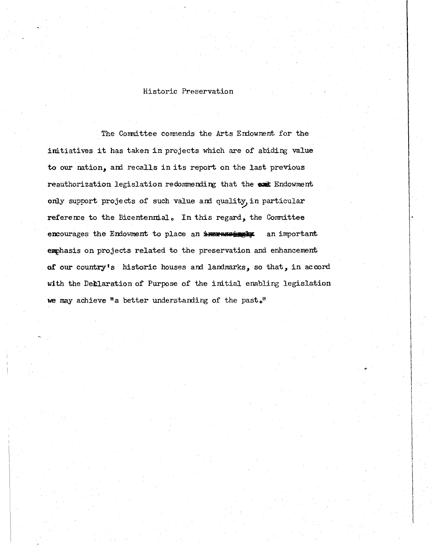#### Historic Preservation

The Committee commends the Arts Endowment for the initiatives it has taken in projects which are of abiding value to our nation, ani recalls in its report on the last previous reauthorization legislation redommending that the **exic** Endowment only support projects of such value and quality, in particular reference to the Bicentennial. In this regard, the Committee encourages the Endowment to place an interestant an important emphasis on projects related to the preservation and enhancement of our country's historic houses and landmarks, so that, in accord with the Declaration of Purpose of the initial enabling legislation we may achieve "a better understanding of the past."

 $\mathbf{I}$ 

 $\mathbf{I}$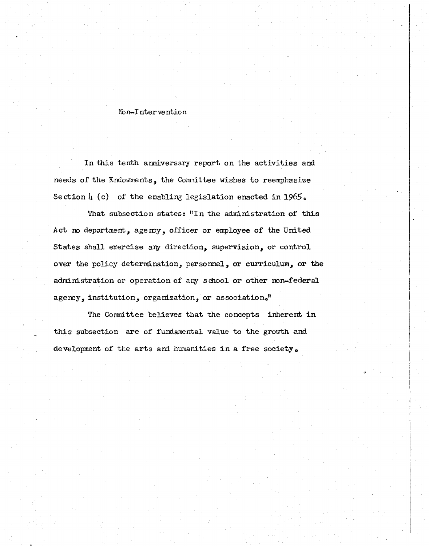#### Non-Intervention

In this tenth anniversary report on the activities and needs of the Endowments, the Conmittee wishes to reemphasize Section  $\mu$  (c) of the enabling legislation enacted in 1965.

That subsection states: "In the administration of this Act no department, agency, officer or employee of the United States shall exercise any direction, supervision, or control over the policy determination, personnel, or curriculum, or the administration or operation of any school or other non-federal agency, institution, organization, or association."

The Committee believes that the concepts inherent in this subsection are of fundamental value to the growth and development of the arts and humanities in a free society.

 $\overline{a}$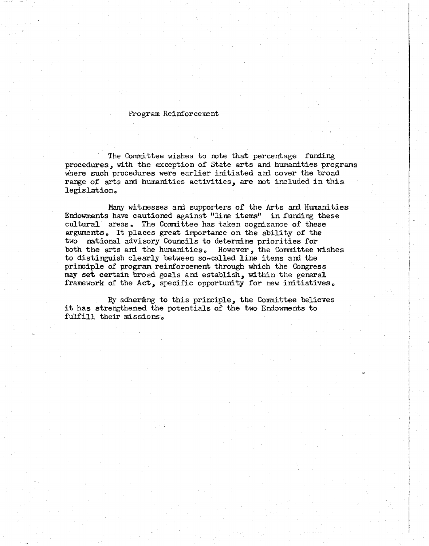#### Program Reinforcement

The Committee wishes to note that percentage funding procedures, with the exception of State arts and humanities programs where such procedures were earlier initiated and cover the broad range of arts and humanities activities, are not included in this legislation.

Many witnesses and supporters of the Arts and Humanities Endowments have cautioned against "line items" in funding these cultural areas. The Committee has taken cognizance of these arguments. It places great importance on the ability of the two national advisory Councils to determine priorities for both the arts and the humanities. However, the Committee wishes to distinguish clearly between so-called line items and the primiple of program reinforcement through which the Congress may set certain broad goals and establish, within the general framework of the Act, specific opportunity for new initiatives.

By adhering to this principle, the Committee believes it has strengthened the potentials of the two Endowments to fulfill their missions.